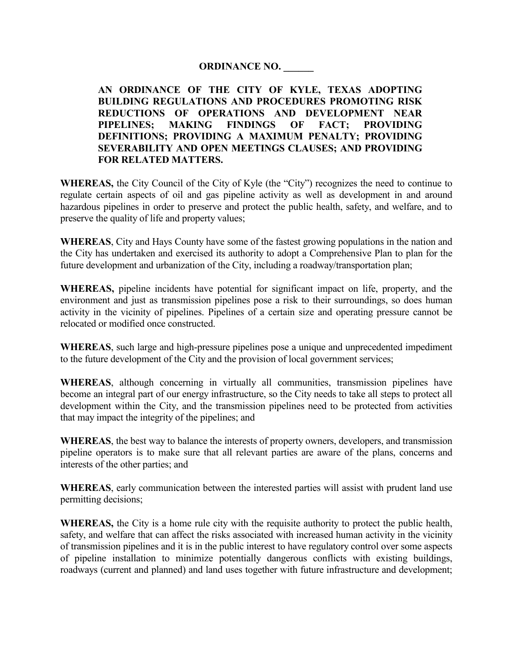## **ORDINANCE NO. \_\_\_\_\_\_**

**AN ORDINANCE OF THE CITY OF KYLE, TEXAS ADOPTING BUILDING REGULATIONS AND PROCEDURES PROMOTING RISK REDUCTIONS OF OPERATIONS AND DEVELOPMENT NEAR PIPELINES; MAKING FINDINGS OF FACT; PROVIDING DEFINITIONS; PROVIDING A MAXIMUM PENALTY; PROVIDING SEVERABILITY AND OPEN MEETINGS CLAUSES; AND PROVIDING FOR RELATED MATTERS.** 

**WHEREAS,** the City Council of the City of Kyle (the "City") recognizes the need to continue to regulate certain aspects of oil and gas pipeline activity as well as development in and around hazardous pipelines in order to preserve and protect the public health, safety, and welfare, and to preserve the quality of life and property values;

**WHEREAS**, City and Hays County have some of the fastest growing populations in the nation and the City has undertaken and exercised its authority to adopt a Comprehensive Plan to plan for the future development and urbanization of the City, including a roadway/transportation plan;

**WHEREAS,** pipeline incidents have potential for significant impact on life, property, and the environment and just as transmission pipelines pose a risk to their surroundings, so does human activity in the vicinity of pipelines. Pipelines of a certain size and operating pressure cannot be relocated or modified once constructed.

**WHEREAS**, such large and high-pressure pipelines pose a unique and unprecedented impediment to the future development of the City and the provision of local government services;

**WHEREAS**, although concerning in virtually all communities, transmission pipelines have become an integral part of our energy infrastructure, so the City needs to take all steps to protect all development within the City, and the transmission pipelines need to be protected from activities that may impact the integrity of the pipelines; and

**WHEREAS**, the best way to balance the interests of property owners, developers, and transmission pipeline operators is to make sure that all relevant parties are aware of the plans, concerns and interests of the other parties; and

**WHEREAS**, early communication between the interested parties will assist with prudent land use permitting decisions;

**WHEREAS,** the City is a home rule city with the requisite authority to protect the public health, safety, and welfare that can affect the risks associated with increased human activity in the vicinity of transmission pipelines and it is in the public interest to have regulatory control over some aspects of pipeline installation to minimize potentially dangerous conflicts with existing buildings, roadways (current and planned) and land uses together with future infrastructure and development;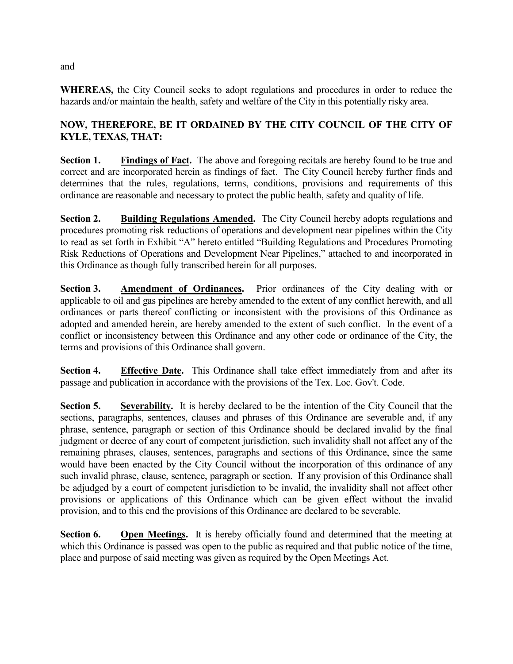**WHEREAS,** the City Council seeks to adopt regulations and procedures in order to reduce the hazards and/or maintain the health, safety and welfare of the City in this potentially risky area.

## **NOW, THEREFORE, BE IT ORDAINED BY THE CITY COUNCIL OF THE CITY OF KYLE, TEXAS, THAT:**

**Section 1.** Findings of Fact. The above and foregoing recitals are hereby found to be true and correct and are incorporated herein as findings of fact. The City Council hereby further finds and determines that the rules, regulations, terms, conditions, provisions and requirements of this ordinance are reasonable and necessary to protect the public health, safety and quality of life.

**Section 2.** Building Regulations Amended. The City Council hereby adopts regulations and procedures promoting risk reductions of operations and development near pipelines within the City to read as set forth in Exhibit "A" hereto entitled "Building Regulations and Procedures Promoting Risk Reductions of Operations and Development Near Pipelines," attached to and incorporated in this Ordinance as though fully transcribed herein for all purposes.

**Section 3.** Amendment of Ordinances. Prior ordinances of the City dealing with or applicable to oil and gas pipelines are hereby amended to the extent of any conflict herewith, and all ordinances or parts thereof conflicting or inconsistent with the provisions of this Ordinance as adopted and amended herein, are hereby amended to the extent of such conflict. In the event of a conflict or inconsistency between this Ordinance and any other code or ordinance of the City, the terms and provisions of this Ordinance shall govern.

**Section 4.** Effective Date. This Ordinance shall take effect immediately from and after its passage and publication in accordance with the provisions of the Tex. Loc. Gov't. Code.

**Section 5. Severability.** It is hereby declared to be the intention of the City Council that the sections, paragraphs, sentences, clauses and phrases of this Ordinance are severable and, if any phrase, sentence, paragraph or section of this Ordinance should be declared invalid by the final judgment or decree of any court of competent jurisdiction, such invalidity shall not affect any of the remaining phrases, clauses, sentences, paragraphs and sections of this Ordinance, since the same would have been enacted by the City Council without the incorporation of this ordinance of any such invalid phrase, clause, sentence, paragraph or section. If any provision of this Ordinance shall be adjudged by a court of competent jurisdiction to be invalid, the invalidity shall not affect other provisions or applications of this Ordinance which can be given effect without the invalid provision, and to this end the provisions of this Ordinance are declared to be severable.

**Section 6.** Open Meetings. It is hereby officially found and determined that the meeting at which this Ordinance is passed was open to the public as required and that public notice of the time. place and purpose of said meeting was given as required by the Open Meetings Act.

and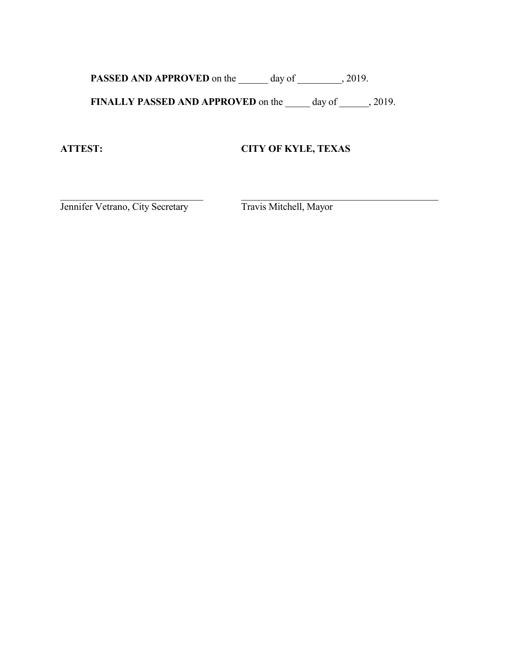**PASSED AND APPROVED** on the \_\_\_\_\_\_ day of \_\_\_\_\_\_\_, 2019.

**FINALLY PASSED AND APPROVED** on the \_\_\_\_\_ day of \_\_\_\_\_, 2019.

\_\_\_\_\_\_\_\_\_\_\_\_\_\_\_\_\_\_\_\_\_\_\_\_\_\_\_\_\_ \_\_\_\_\_\_\_\_\_\_\_\_\_\_\_\_\_\_\_\_\_\_\_\_\_\_\_\_\_\_\_\_\_\_\_\_\_\_\_\_

# **ATTEST: CITY OF KYLE, TEXAS**

Jennifer Vetrano, City Secretary Travis Mitchell, Mayor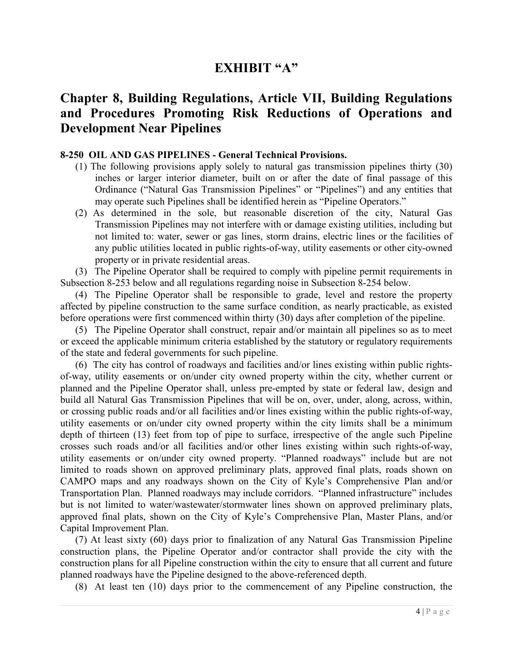# **EXHIBIT "A"**

# **Chapter 8, Building Regulations, Article VII, Building Regulations and Procedures Promoting Risk Reductions of Operations and Development Near Pipelines**

#### **8-250 OIL AND GAS PIPELINES - General Technical Provisions.**

- (1) The following provisions apply solely to natural gas transmission pipelines thirty (30) inches or larger interior diameter, built on or after the date of final passage of this Ordinance ("Natural Gas Transmission Pipelines" or "Pipelines") and any entities that may operate such Pipelines shall be identified herein as "Pipeline Operators."
- (2) As determined in the sole, but reasonable discretion of the city, Natural Gas Transmission Pipelines may not interfere with or damage existing utilities, including but not limited to: water, sewer or gas lines, storm drains, electric lines or the facilities of any public utilities located in public rights-of-way, utility easements or other city-owned property or in private residential areas.

 (3) The Pipeline Operator shall be required to comply with pipeline permit requirements in Subsection 8-253 below and all regulations regarding noise in Subsection 8-254 below.

 (4) The Pipeline Operator shall be responsible to grade, level and restore the property affected by pipeline construction to the same surface condition, as nearly practicable, as existed before operations were first commenced within thirty (30) days after completion of the pipeline.

 (5) The Pipeline Operator shall construct, repair and/or maintain all pipelines so as to meet or exceed the applicable minimum criteria established by the statutory or regulatory requirements of the state and federal governments for such pipeline.

 (6) The city has control of roadways and facilities and/or lines existing within public rightsof-way, utility easements or on/under city owned property within the city, whether current or planned and the Pipeline Operator shall, unless pre-empted by state or federal law, design and build all Natural Gas Transmission Pipelines that will be on, over, under, along, across, within, or crossing public roads and/or all facilities and/or lines existing within the public rights-of-way, utility easements or on/under city owned property within the city limits shall be a minimum depth of thirteen (13) feet from top of pipe to surface, irrespective of the angle such Pipeline crosses such roads and/or all facilities and/or other lines existing within such rights-of-way, utility easements or on/under city owned property. "Planned roadways" include but are not limited to roads shown on approved preliminary plats, approved final plats, roads shown on CAMPO maps and any roadways shown on the City of Kyle's Comprehensive Plan and/or Transportation Plan. Planned roadways may include corridors. "Planned infrastructure" includes but is not limited to water/wastewater/stormwater lines shown on approved preliminary plats, approved final plats, shown on the City of Kyle's Comprehensive Plan, Master Plans, and/or Capital Improvement Plan.

 (7) At least sixty (60) days prior to finalization of any Natural Gas Transmission Pipeline construction plans, the Pipeline Operator and/or contractor shall provide the city with the construction plans for all Pipeline construction within the city to ensure that all current and future planned roadways have the Pipeline designed to the above-referenced depth.

(8) At least ten (10) days prior to the commencement of any Pipeline construction, the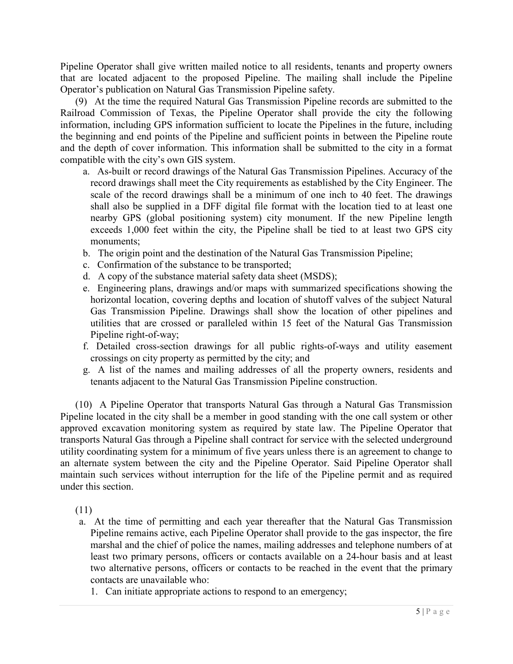Pipeline Operator shall give written mailed notice to all residents, tenants and property owners that are located adjacent to the proposed Pipeline. The mailing shall include the Pipeline Operator's publication on Natural Gas Transmission Pipeline safety.

 (9) At the time the required Natural Gas Transmission Pipeline records are submitted to the Railroad Commission of Texas, the Pipeline Operator shall provide the city the following information, including GPS information sufficient to locate the Pipelines in the future, including the beginning and end points of the Pipeline and sufficient points in between the Pipeline route and the depth of cover information. This information shall be submitted to the city in a format compatible with the city's own GIS system.

- a. As-built or record drawings of the Natural Gas Transmission Pipelines. Accuracy of the record drawings shall meet the City requirements as established by the City Engineer. The scale of the record drawings shall be a minimum of one inch to 40 feet. The drawings shall also be supplied in a DFF digital file format with the location tied to at least one nearby GPS (global positioning system) city monument. If the new Pipeline length exceeds 1,000 feet within the city, the Pipeline shall be tied to at least two GPS city monuments;
- b. The origin point and the destination of the Natural Gas Transmission Pipeline;
- c. Confirmation of the substance to be transported;
- d. A copy of the substance material safety data sheet (MSDS);
- e. Engineering plans, drawings and/or maps with summarized specifications showing the horizontal location, covering depths and location of shutoff valves of the subject Natural Gas Transmission Pipeline. Drawings shall show the location of other pipelines and utilities that are crossed or paralleled within 15 feet of the Natural Gas Transmission Pipeline right-of-way;
- f. Detailed cross-section drawings for all public rights-of-ways and utility easement crossings on city property as permitted by the city; and
- g. A list of the names and mailing addresses of all the property owners, residents and tenants adjacent to the Natural Gas Transmission Pipeline construction.

 (10) A Pipeline Operator that transports Natural Gas through a Natural Gas Transmission Pipeline located in the city shall be a member in good standing with the one call system or other approved excavation monitoring system as required by state law. The Pipeline Operator that transports Natural Gas through a Pipeline shall contract for service with the selected underground utility coordinating system for a minimum of five years unless there is an agreement to change to an alternate system between the city and the Pipeline Operator. Said Pipeline Operator shall maintain such services without interruption for the life of the Pipeline permit and as required under this section.

(11)

- a. At the time of permitting and each year thereafter that the Natural Gas Transmission Pipeline remains active, each Pipeline Operator shall provide to the gas inspector, the fire marshal and the chief of police the names, mailing addresses and telephone numbers of at least two primary persons, officers or contacts available on a 24-hour basis and at least two alternative persons, officers or contacts to be reached in the event that the primary contacts are unavailable who:
	- 1. Can initiate appropriate actions to respond to an emergency;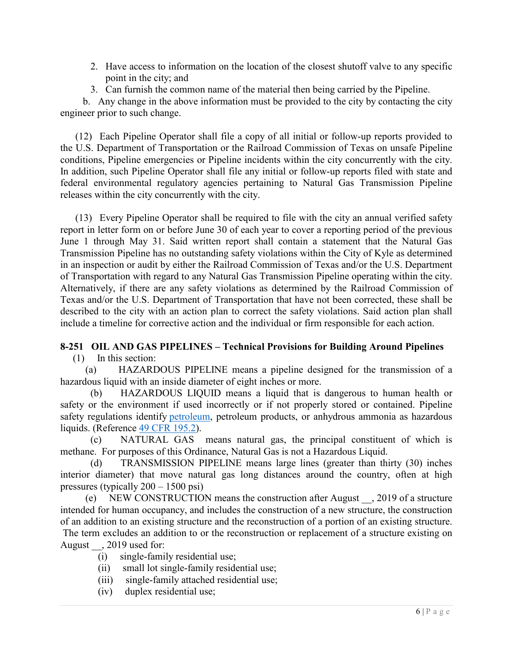- 2. Have access to information on the location of the closest shutoff valve to any specific point in the city; and
- 3. Can furnish the common name of the material then being carried by the Pipeline.

 b. Any change in the above information must be provided to the city by contacting the city engineer prior to such change.

 (12) Each Pipeline Operator shall file a copy of all initial or follow-up reports provided to the U.S. Department of Transportation or the Railroad Commission of Texas on unsafe Pipeline conditions, Pipeline emergencies or Pipeline incidents within the city concurrently with the city. In addition, such Pipeline Operator shall file any initial or follow-up reports filed with state and federal environmental regulatory agencies pertaining to Natural Gas Transmission Pipeline releases within the city concurrently with the city.

 (13) Every Pipeline Operator shall be required to file with the city an annual verified safety report in letter form on or before June 30 of each year to cover a reporting period of the previous June 1 through May 31. Said written report shall contain a statement that the Natural Gas Transmission Pipeline has no outstanding safety violations within the City of Kyle as determined in an inspection or audit by either the Railroad Commission of Texas and/or the U.S. Department of Transportation with regard to any Natural Gas Transmission Pipeline operating within the city. Alternatively, if there are any safety violations as determined by the Railroad Commission of Texas and/or the U.S. Department of Transportation that have not been corrected, these shall be described to the city with an action plan to correct the safety violations. Said action plan shall include a timeline for corrective action and the individual or firm responsible for each action.

#### **8-251 OIL AND GAS PIPELINES – Technical Provisions for Building Around Pipelines**  (1) In this section:

 (a) HAZARDOUS PIPELINE means a pipeline designed for the transmission of a hazardous liquid with an inside diameter of eight inches or more.

 (b) HAZARDOUS LIQUID means a liquid that is dangerous to human health or safety or the environment if used incorrectly or if not properly stored or contained. Pipeline safety regulations identify petroleum, petroleum products, or anhydrous ammonia as hazardous liquids. (Reference 49 CFR 195.2).

 (c) NATURAL GAS means natural gas, the principal constituent of which is methane. For purposes of this Ordinance, Natural Gas is not a Hazardous Liquid.

 (d) TRANSMISSION PIPELINE means large lines (greater than thirty (30) inches interior diameter) that move natural gas long distances around the country, often at high pressures (typically 200 – 1500 psi)

 (e) NEW CONSTRUCTION means the construction after August \_\_, 2019 of a structure intended for human occupancy, and includes the construction of a new structure, the construction of an addition to an existing structure and the reconstruction of a portion of an existing structure. The term excludes an addition to or the reconstruction or replacement of a structure existing on August  $\,$ , 2019 used for:

- (i) single-family residential use;
- (ii) small lot single-family residential use;
- (iii) single-family attached residential use;
- (iv) duplex residential use;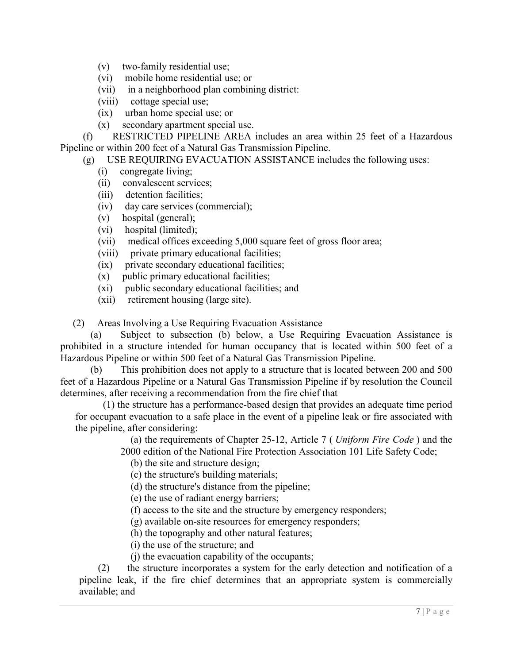- (v) two-family residential use;
- (vi) mobile home residential use; or
- (vii) in a neighborhood plan combining district:
- (viii) cottage special use;
- (ix) urban home special use; or
- (x) secondary apartment special use.

 (f) RESTRICTED PIPELINE AREA includes an area within 25 feet of a Hazardous Pipeline or within 200 feet of a Natural Gas Transmission Pipeline.

(g) USE REQUIRING EVACUATION ASSISTANCE includes the following uses:

- (i) congregate living;
- (ii) convalescent services;
- (iii) detention facilities;
- (iv) day care services (commercial);
- (v) hospital (general);
- (vi) hospital (limited);
- (vii) medical offices exceeding 5,000 square feet of gross floor area;
- (viii) private primary educational facilities;
- (ix) private secondary educational facilities;
- (x) public primary educational facilities;
- (xi) public secondary educational facilities; and
- (xii) retirement housing (large site).

(2) Areas Involving a Use Requiring Evacuation Assistance

(a) Subject to subsection (b) below, a Use Requiring Evacuation Assistance is prohibited in a structure intended for human occupancy that is located within 500 feet of a Hazardous Pipeline or within 500 feet of a Natural Gas Transmission Pipeline.

 (b) This prohibition does not apply to a structure that is located between 200 and 500 feet of a Hazardous Pipeline or a Natural Gas Transmission Pipeline if by resolution the Council determines, after receiving a recommendation from the fire chief that

 (1) the structure has a performance-based design that provides an adequate time period for occupant evacuation to a safe place in the event of a pipeline leak or fire associated with the pipeline, after considering:

(a) the requirements of Chapter 25-12, Article 7 ( *Uniform Fire Code* ) and the

- 2000 edition of the National Fire Protection Association 101 Life Safety Code;
	- (b) the site and structure design;
	- (c) the structure's building materials;
	- (d) the structure's distance from the pipeline;
	- (e) the use of radiant energy barriers;
	- (f) access to the site and the structure by emergency responders;

(g) available on-site resources for emergency responders;

(h) the topography and other natural features;

(i) the use of the structure; and

(j) the evacuation capability of the occupants;

 (2) the structure incorporates a system for the early detection and notification of a pipeline leak, if the fire chief determines that an appropriate system is commercially available; and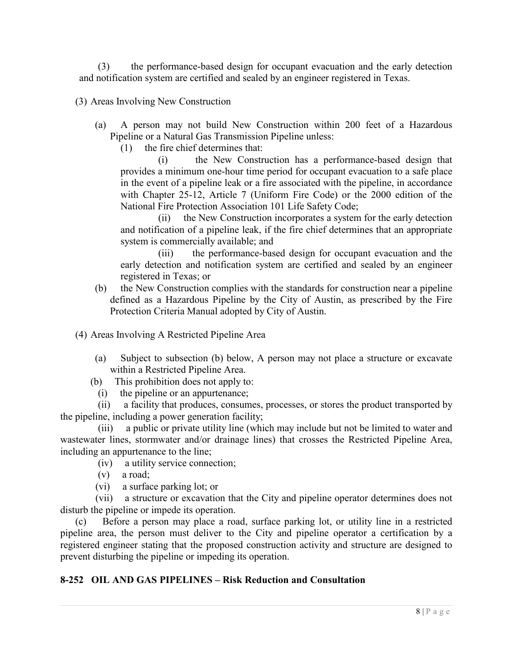(3) the performance-based design for occupant evacuation and the early detection and notification system are certified and sealed by an engineer registered in Texas.

(3) Areas Involving New Construction

- (a) A person may not build New Construction within 200 feet of a Hazardous Pipeline or a Natural Gas Transmission Pipeline unless:
	- (1) the fire chief determines that:

 (i) the New Construction has a performance-based design that provides a minimum one-hour time period for occupant evacuation to a safe place in the event of a pipeline leak or a fire associated with the pipeline, in accordance with Chapter 25-12, Article 7 (Uniform Fire Code) or the 2000 edition of the National Fire Protection Association 101 Life Safety Code;

 (ii) the New Construction incorporates a system for the early detection and notification of a pipeline leak, if the fire chief determines that an appropriate system is commercially available; and

 (iii) the performance-based design for occupant evacuation and the early detection and notification system are certified and sealed by an engineer registered in Texas; or

(b) the New Construction complies with the standards for construction near a pipeline defined as a Hazardous Pipeline by the City of Austin, as prescribed by the Fire Protection Criteria Manual adopted by City of Austin.

(4) Areas Involving A Restricted Pipeline Area

- (a) Subject to subsection (b) below, A person may not place a structure or excavate within a Restricted Pipeline Area.
- (b) This prohibition does not apply to:
	- (i) the pipeline or an appurtenance;

 (ii) a facility that produces, consumes, processes, or stores the product transported by the pipeline, including a power generation facility;

 (iii) a public or private utility line (which may include but not be limited to water and wastewater lines, stormwater and/or drainage lines) that crosses the Restricted Pipeline Area, including an appurtenance to the line;

- (iv) a utility service connection;
- (v) a road;
- (vi) a surface parking lot; or

 (vii) a structure or excavation that the City and pipeline operator determines does not disturb the pipeline or impede its operation.

 (c) Before a person may place a road, surface parking lot, or utility line in a restricted pipeline area, the person must deliver to the City and pipeline operator a certification by a registered engineer stating that the proposed construction activity and structure are designed to prevent disturbing the pipeline or impeding its operation.

## **8-252 OIL AND GAS PIPELINES – Risk Reduction and Consultation**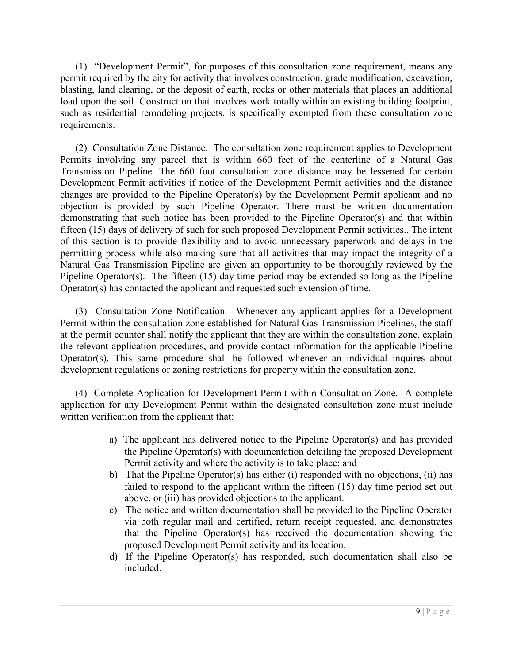(1) "Development Permit", for purposes of this consultation zone requirement, means any permit required by the city for activity that involves construction, grade modification, excavation, blasting, land clearing, or the deposit of earth, rocks or other materials that places an additional load upon the soil. Construction that involves work totally within an existing building footprint, such as residential remodeling projects, is specifically exempted from these consultation zone requirements.

(2) Consultation Zone Distance. The consultation zone requirement applies to Development Permits involving any parcel that is within 660 feet of the centerline of a Natural Gas Transmission Pipeline. The 660 foot consultation zone distance may be lessened for certain Development Permit activities if notice of the Development Permit activities and the distance changes are provided to the Pipeline Operator(s) by the Development Permit applicant and no objection is provided by such Pipeline Operator. There must be written documentation demonstrating that such notice has been provided to the Pipeline Operator(s) and that within fifteen (15) days of delivery of such for such proposed Development Permit activities.. The intent of this section is to provide flexibility and to avoid unnecessary paperwork and delays in the permitting process while also making sure that all activities that may impact the integrity of a Natural Gas Transmission Pipeline are given an opportunity to be thoroughly reviewed by the Pipeline Operator(s). The fifteen (15) day time period may be extended so long as the Pipeline Operator(s) has contacted the applicant and requested such extension of time.

(3) Consultation Zone Notification. Whenever any applicant applies for a Development Permit within the consultation zone established for Natural Gas Transmission Pipelines, the staff at the permit counter shall notify the applicant that they are within the consultation zone, explain the relevant application procedures, and provide contact information for the applicable Pipeline Operator(s). This same procedure shall be followed whenever an individual inquires about development regulations or zoning restrictions for property within the consultation zone.

(4) Complete Application for Development Permit within Consultation Zone. A complete application for any Development Permit within the designated consultation zone must include written verification from the applicant that:

- a) The applicant has delivered notice to the Pipeline Operator(s) and has provided the Pipeline Operator(s) with documentation detailing the proposed Development Permit activity and where the activity is to take place; and
- b) That the Pipeline Operator(s) has either (i) responded with no objections, (ii) has failed to respond to the applicant within the fifteen (15) day time period set out above, or (iii) has provided objections to the applicant.
- c) The notice and written documentation shall be provided to the Pipeline Operator via both regular mail and certified, return receipt requested, and demonstrates that the Pipeline Operator(s) has received the documentation showing the proposed Development Permit activity and its location.
- d) If the Pipeline Operator(s) has responded, such documentation shall also be included.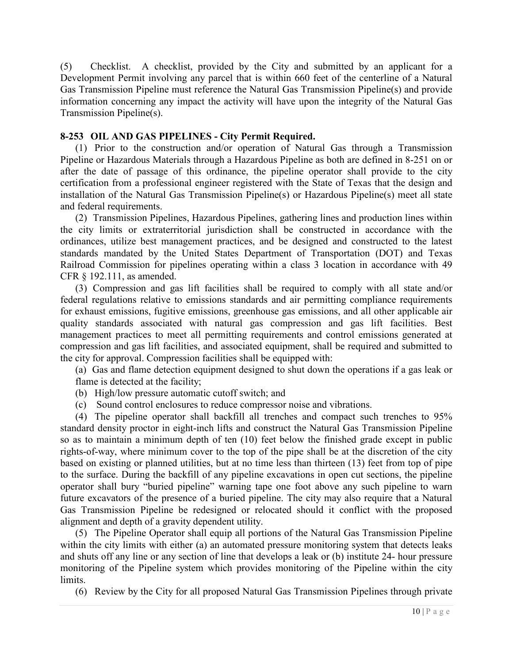(5) Checklist. A checklist, provided by the City and submitted by an applicant for a Development Permit involving any parcel that is within 660 feet of the centerline of a Natural Gas Transmission Pipeline must reference the Natural Gas Transmission Pipeline(s) and provide information concerning any impact the activity will have upon the integrity of the Natural Gas Transmission Pipeline(s).

## **8-253 OIL AND GAS PIPELINES - City Permit Required.**

 (1) Prior to the construction and/or operation of Natural Gas through a Transmission Pipeline or Hazardous Materials through a Hazardous Pipeline as both are defined in 8-251 on or after the date of passage of this ordinance, the pipeline operator shall provide to the city certification from a professional engineer registered with the State of Texas that the design and installation of the Natural Gas Transmission Pipeline(s) or Hazardous Pipeline(s) meet all state and federal requirements.

 (2) Transmission Pipelines, Hazardous Pipelines, gathering lines and production lines within the city limits or extraterritorial jurisdiction shall be constructed in accordance with the ordinances, utilize best management practices, and be designed and constructed to the latest standards mandated by the United States Department of Transportation (DOT) and Texas Railroad Commission for pipelines operating within a class 3 location in accordance with 49 CFR § 192.111, as amended.

(3) Compression and gas lift facilities shall be required to comply with all state and/or federal regulations relative to emissions standards and air permitting compliance requirements for exhaust emissions, fugitive emissions, greenhouse gas emissions, and all other applicable air quality standards associated with natural gas compression and gas lift facilities. Best management practices to meet all permitting requirements and control emissions generated at compression and gas lift facilities, and associated equipment, shall be required and submitted to the city for approval. Compression facilities shall be equipped with:

(a) Gas and flame detection equipment designed to shut down the operations if a gas leak or flame is detected at the facility;

- (b) High/low pressure automatic cutoff switch; and
- (c) Sound control enclosures to reduce compressor noise and vibrations.

 (4) The pipeline operator shall backfill all trenches and compact such trenches to 95% standard density proctor in eight-inch lifts and construct the Natural Gas Transmission Pipeline so as to maintain a minimum depth of ten (10) feet below the finished grade except in public rights-of-way, where minimum cover to the top of the pipe shall be at the discretion of the city based on existing or planned utilities, but at no time less than thirteen (13) feet from top of pipe to the surface. During the backfill of any pipeline excavations in open cut sections, the pipeline operator shall bury "buried pipeline" warning tape one foot above any such pipeline to warn future excavators of the presence of a buried pipeline. The city may also require that a Natural Gas Transmission Pipeline be redesigned or relocated should it conflict with the proposed alignment and depth of a gravity dependent utility.

 (5) The Pipeline Operator shall equip all portions of the Natural Gas Transmission Pipeline within the city limits with either (a) an automated pressure monitoring system that detects leaks and shuts off any line or any section of line that develops a leak or (b) institute 24- hour pressure monitoring of the Pipeline system which provides monitoring of the Pipeline within the city limits.

(6) Review by the City for all proposed Natural Gas Transmission Pipelines through private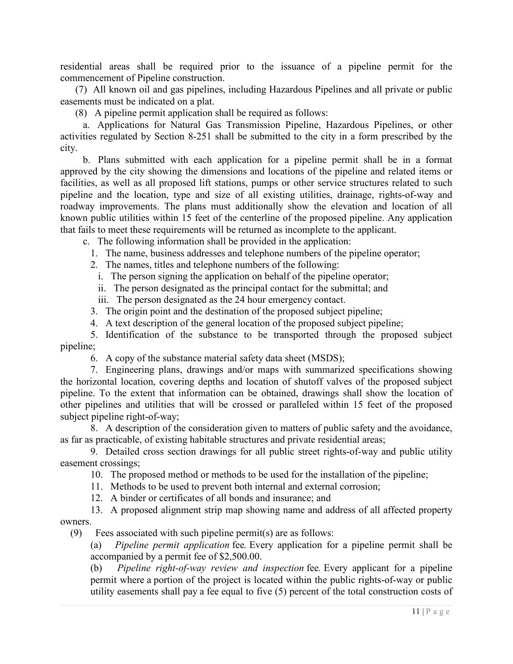residential areas shall be required prior to the issuance of a pipeline permit for the commencement of Pipeline construction.

 (7) All known oil and gas pipelines, including Hazardous Pipelines and all private or public easements must be indicated on a plat.

(8) A pipeline permit application shall be required as follows:

 a. Applications for Natural Gas Transmission Pipeline, Hazardous Pipelines, or other activities regulated by Section 8-251 shall be submitted to the city in a form prescribed by the city.

 b. Plans submitted with each application for a pipeline permit shall be in a format approved by the city showing the dimensions and locations of the pipeline and related items or facilities, as well as all proposed lift stations, pumps or other service structures related to such pipeline and the location, type and size of all existing utilities, drainage, rights-of-way and roadway improvements. The plans must additionally show the elevation and location of all known public utilities within 15 feet of the centerline of the proposed pipeline. Any application that fails to meet these requirements will be returned as incomplete to the applicant.

c. The following information shall be provided in the application:

1. The name, business addresses and telephone numbers of the pipeline operator;

2. The names, titles and telephone numbers of the following:

i. The person signing the application on behalf of the pipeline operator;

ii. The person designated as the principal contact for the submittal; and

iii. The person designated as the 24 hour emergency contact.

3. The origin point and the destination of the proposed subject pipeline;

4. A text description of the general location of the proposed subject pipeline;

 5. Identification of the substance to be transported through the proposed subject pipeline;

6. A copy of the substance material safety data sheet (MSDS);

 7. Engineering plans, drawings and/or maps with summarized specifications showing the horizontal location, covering depths and location of shutoff valves of the proposed subject pipeline. To the extent that information can be obtained, drawings shall show the location of other pipelines and utilities that will be crossed or paralleled within 15 feet of the proposed subject pipeline right-of-way;

 8. A description of the consideration given to matters of public safety and the avoidance, as far as practicable, of existing habitable structures and private residential areas;

 9. Detailed cross section drawings for all public street rights-of-way and public utility easement crossings;

10. The proposed method or methods to be used for the installation of the pipeline;

11. Methods to be used to prevent both internal and external corrosion;

12. A binder or certificates of all bonds and insurance; and

 13. A proposed alignment strip map showing name and address of all affected property owners.

(9) Fees associated with such pipeline permit(s) are as follows:

(a) *Pipeline permit application* fee*.* Every application for a pipeline permit shall be accompanied by a permit fee of \$2,500.00.

(b) *Pipeline right-of-way review and inspection* fee*.* Every applicant for a pipeline permit where a portion of the project is located within the public rights-of-way or public utility easements shall pay a fee equal to five (5) percent of the total construction costs of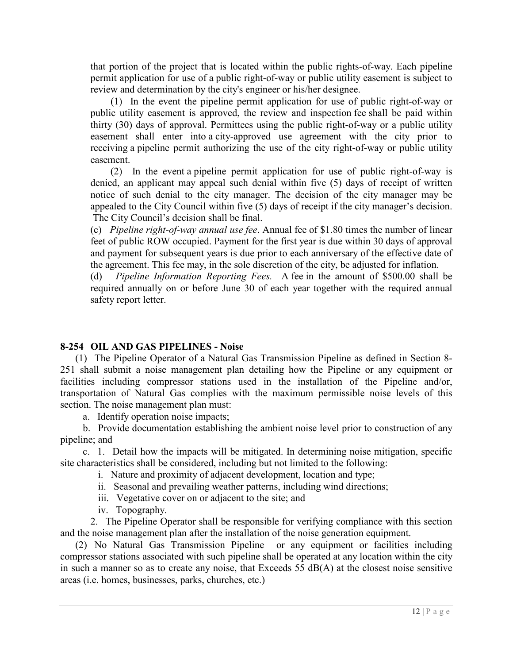that portion of the project that is located within the public rights-of-way. Each pipeline permit application for use of a public right-of-way or public utility easement is subject to review and determination by the city's engineer or his/her designee.

 (1) In the event the pipeline permit application for use of public right-of-way or public utility easement is approved, the review and inspection fee shall be paid within thirty (30) days of approval. Permittees using the public right-of-way or a public utility easement shall enter into a city-approved use agreement with the city prior to receiving a pipeline permit authorizing the use of the city right-of-way or public utility easement.

 (2) In the event a pipeline permit application for use of public right-of-way is denied, an applicant may appeal such denial within five (5) days of receipt of written notice of such denial to the city manager. The decision of the city manager may be appealed to the City Council within five (5) days of receipt if the city manager's decision. The City Council's decision shall be final.

(c) *Pipeline right-of-way annual use fee*. Annual fee of \$1.80 times the number of linear feet of public ROW occupied. Payment for the first year is due within 30 days of approval and payment for subsequent years is due prior to each anniversary of the effective date of the agreement. This fee may, in the sole discretion of the city, be adjusted for inflation.

(d) *Pipeline Information Reporting Fees.* A fee in the amount of \$500.00 shall be required annually on or before June 30 of each year together with the required annual safety report letter.

## **8-254 OIL AND GAS PIPELINES - Noise**

 (1) The Pipeline Operator of a Natural Gas Transmission Pipeline as defined in Section 8- 251 shall submit a noise management plan detailing how the Pipeline or any equipment or facilities including compressor stations used in the installation of the Pipeline and/or, transportation of Natural Gas complies with the maximum permissible noise levels of this section. The noise management plan must:

a. Identify operation noise impacts;

 b. Provide documentation establishing the ambient noise level prior to construction of any pipeline; and

 c. 1. Detail how the impacts will be mitigated. In determining noise mitigation, specific site characteristics shall be considered, including but not limited to the following:

i. Nature and proximity of adjacent development, location and type;

- ii. Seasonal and prevailing weather patterns, including wind directions;
- iii. Vegetative cover on or adjacent to the site; and
- iv. Topography.

 2. The Pipeline Operator shall be responsible for verifying compliance with this section and the noise management plan after the installation of the noise generation equipment.

 (2) No Natural Gas Transmission Pipeline or any equipment or facilities including compressor stations associated with such pipeline shall be operated at any location within the city in such a manner so as to create any noise, that Exceeds 55 dB(A) at the closest noise sensitive areas (i.e. homes, businesses, parks, churches, etc.)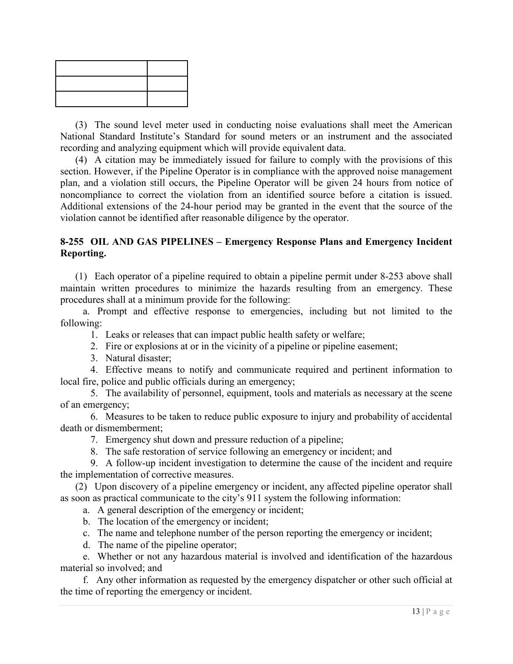(3) The sound level meter used in conducting noise evaluations shall meet the American National Standard Institute's Standard for sound meters or an instrument and the associated recording and analyzing equipment which will provide equivalent data.

 (4) A citation may be immediately issued for failure to comply with the provisions of this section. However, if the Pipeline Operator is in compliance with the approved noise management plan, and a violation still occurs, the Pipeline Operator will be given 24 hours from notice of noncompliance to correct the violation from an identified source before a citation is issued. Additional extensions of the 24-hour period may be granted in the event that the source of the violation cannot be identified after reasonable diligence by the operator.

## **8-255 OIL AND GAS PIPELINES – Emergency Response Plans and Emergency Incident Reporting.**

 (1) Each operator of a pipeline required to obtain a pipeline permit under 8-253 above shall maintain written procedures to minimize the hazards resulting from an emergency. These procedures shall at a minimum provide for the following:

 a. Prompt and effective response to emergencies, including but not limited to the following:

- 1. Leaks or releases that can impact public health safety or welfare;
- 2. Fire or explosions at or in the vicinity of a pipeline or pipeline easement;
- 3. Natural disaster;

 4. Effective means to notify and communicate required and pertinent information to local fire, police and public officials during an emergency;

 5. The availability of personnel, equipment, tools and materials as necessary at the scene of an emergency;

 6. Measures to be taken to reduce public exposure to injury and probability of accidental death or dismemberment;

- 7. Emergency shut down and pressure reduction of a pipeline;
- 8. The safe restoration of service following an emergency or incident; and

 9. A follow-up incident investigation to determine the cause of the incident and require the implementation of corrective measures.

 (2) Upon discovery of a pipeline emergency or incident, any affected pipeline operator shall as soon as practical communicate to the city's 911 system the following information:

- a. A general description of the emergency or incident;
- b. The location of the emergency or incident;
- c. The name and telephone number of the person reporting the emergency or incident;
- d. The name of the pipeline operator;

 e. Whether or not any hazardous material is involved and identification of the hazardous material so involved; and

 f. Any other information as requested by the emergency dispatcher or other such official at the time of reporting the emergency or incident.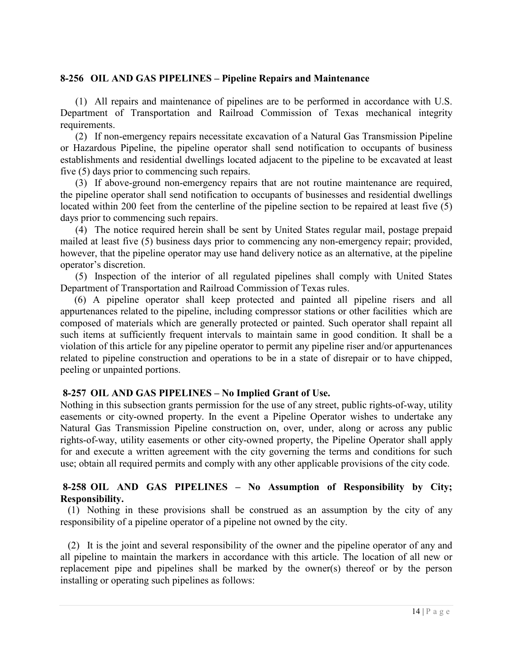#### **8-256 OIL AND GAS PIPELINES – Pipeline Repairs and Maintenance**

 (1) All repairs and maintenance of pipelines are to be performed in accordance with U.S. Department of Transportation and Railroad Commission of Texas mechanical integrity requirements.

 (2) If non-emergency repairs necessitate excavation of a Natural Gas Transmission Pipeline or Hazardous Pipeline, the pipeline operator shall send notification to occupants of business establishments and residential dwellings located adjacent to the pipeline to be excavated at least five (5) days prior to commencing such repairs.

 (3) If above-ground non-emergency repairs that are not routine maintenance are required, the pipeline operator shall send notification to occupants of businesses and residential dwellings located within 200 feet from the centerline of the pipeline section to be repaired at least five (5) days prior to commencing such repairs.

 (4) The notice required herein shall be sent by United States regular mail, postage prepaid mailed at least five (5) business days prior to commencing any non-emergency repair; provided, however, that the pipeline operator may use hand delivery notice as an alternative, at the pipeline operator's discretion.

 (5) Inspection of the interior of all regulated pipelines shall comply with United States Department of Transportation and Railroad Commission of Texas rules.

 (6) A pipeline operator shall keep protected and painted all pipeline risers and all appurtenances related to the pipeline, including compressor stations or other facilities which are composed of materials which are generally protected or painted. Such operator shall repaint all such items at sufficiently frequent intervals to maintain same in good condition. It shall be a violation of this article for any pipeline operator to permit any pipeline riser and/or appurtenances related to pipeline construction and operations to be in a state of disrepair or to have chipped, peeling or unpainted portions.

#### **8-257 OIL AND GAS PIPELINES – No Implied Grant of Use.**

Nothing in this subsection grants permission for the use of any street, public rights-of-way, utility easements or city-owned property. In the event a Pipeline Operator wishes to undertake any Natural Gas Transmission Pipeline construction on, over, under, along or across any public rights-of-way, utility easements or other city-owned property, the Pipeline Operator shall apply for and execute a written agreement with the city governing the terms and conditions for such use; obtain all required permits and comply with any other applicable provisions of the city code.

#### **8-258 OIL AND GAS PIPELINES – No Assumption of Responsibility by City; Responsibility.**

 (1) Nothing in these provisions shall be construed as an assumption by the city of any responsibility of a pipeline operator of a pipeline not owned by the city.

 (2) It is the joint and several responsibility of the owner and the pipeline operator of any and all pipeline to maintain the markers in accordance with this article. The location of all new or replacement pipe and pipelines shall be marked by the owner(s) thereof or by the person installing or operating such pipelines as follows: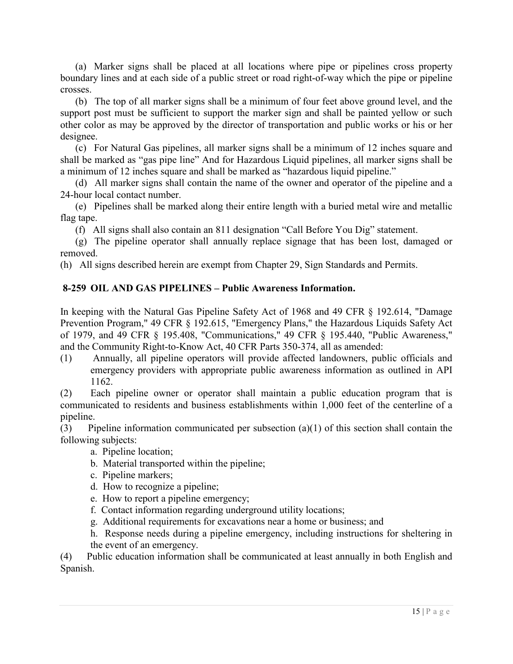(a) Marker signs shall be placed at all locations where pipe or pipelines cross property boundary lines and at each side of a public street or road right-of-way which the pipe or pipeline crosses.

 (b) The top of all marker signs shall be a minimum of four feet above ground level, and the support post must be sufficient to support the marker sign and shall be painted yellow or such other color as may be approved by the director of transportation and public works or his or her designee.

 (c) For Natural Gas pipelines, all marker signs shall be a minimum of 12 inches square and shall be marked as "gas pipe line" And for Hazardous Liquid pipelines, all marker signs shall be a minimum of 12 inches square and shall be marked as "hazardous liquid pipeline."

 (d) All marker signs shall contain the name of the owner and operator of the pipeline and a 24-hour local contact number.

 (e) Pipelines shall be marked along their entire length with a buried metal wire and metallic flag tape.

(f) All signs shall also contain an 811 designation "Call Before You Dig" statement.

 (g) The pipeline operator shall annually replace signage that has been lost, damaged or removed.

(h) All signs described herein are exempt from Chapter 29, Sign Standards and Permits.

## **8-259 OIL AND GAS PIPELINES – Public Awareness Information.**

In keeping with the Natural Gas Pipeline Safety Act of 1968 and 49 CFR § 192.614, "Damage Prevention Program," 49 CFR § 192.615, "Emergency Plans," the Hazardous Liquids Safety Act of 1979, and 49 CFR § 195.408, "Communications," 49 CFR § 195.440, "Public Awareness," and the Community Right-to-Know Act, 40 CFR Parts 350-374, all as amended:

(1) Annually, all pipeline operators will provide affected landowners, public officials and emergency providers with appropriate public awareness information as outlined in API 1162.

(2) Each pipeline owner or operator shall maintain a public education program that is communicated to residents and business establishments within 1,000 feet of the centerline of a pipeline.

(3) Pipeline information communicated per subsection (a)(1) of this section shall contain the following subjects:

- a. Pipeline location;
- b. Material transported within the pipeline;
- c. Pipeline markers;
- d. How to recognize a pipeline;
- e. How to report a pipeline emergency;
- f. Contact information regarding underground utility locations;
- g. Additional requirements for excavations near a home or business; and
- h. Response needs during a pipeline emergency, including instructions for sheltering in the event of an emergency.

(4) Public education information shall be communicated at least annually in both English and Spanish.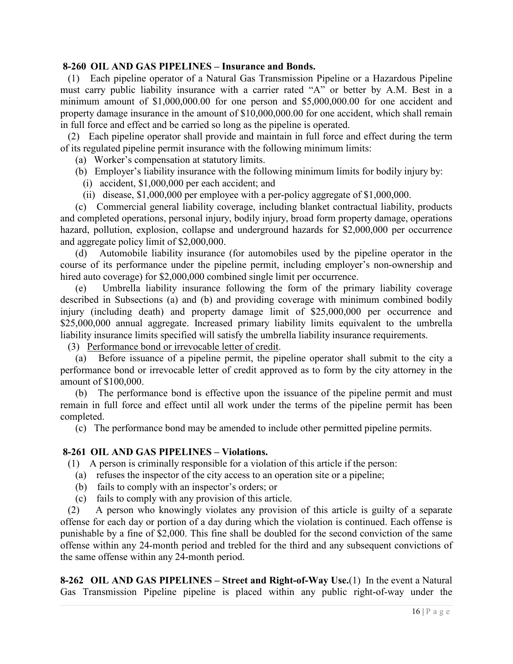#### **8-260 OIL AND GAS PIPELINES – Insurance and Bonds.**

 (1) Each pipeline operator of a Natural Gas Transmission Pipeline or a Hazardous Pipeline must carry public liability insurance with a carrier rated "A" or better by A.M. Best in a minimum amount of \$1,000,000.00 for one person and \$5,000,000.00 for one accident and property damage insurance in the amount of \$10,000,000.00 for one accident, which shall remain in full force and effect and be carried so long as the pipeline is operated.

 (2) Each pipeline operator shall provide and maintain in full force and effect during the term of its regulated pipeline permit insurance with the following minimum limits:

(a) Worker's compensation at statutory limits.

- (b) Employer's liability insurance with the following minimum limits for bodily injury by:
	- (i) accident, \$1,000,000 per each accident; and
	- (ii) disease, \$1,000,000 per employee with a per-policy aggregate of \$1,000,000.

 (c) Commercial general liability coverage, including blanket contractual liability, products and completed operations, personal injury, bodily injury, broad form property damage, operations hazard, pollution, explosion, collapse and underground hazards for \$2,000,000 per occurrence and aggregate policy limit of \$2,000,000.

 (d) Automobile liability insurance (for automobiles used by the pipeline operator in the course of its performance under the pipeline permit, including employer's non-ownership and hired auto coverage) for \$2,000,000 combined single limit per occurrence.

 (e) Umbrella liability insurance following the form of the primary liability coverage described in Subsections (a) and (b) and providing coverage with minimum combined bodily injury (including death) and property damage limit of \$25,000,000 per occurrence and \$25,000,000 annual aggregate. Increased primary liability limits equivalent to the umbrella liability insurance limits specified will satisfy the umbrella liability insurance requirements.

(3) Performance bond or irrevocable letter of credit.

 (a) Before issuance of a pipeline permit, the pipeline operator shall submit to the city a performance bond or irrevocable letter of credit approved as to form by the city attorney in the amount of \$100,000.

 (b) The performance bond is effective upon the issuance of the pipeline permit and must remain in full force and effect until all work under the terms of the pipeline permit has been completed.

(c) The performance bond may be amended to include other permitted pipeline permits.

#### **8-261 OIL AND GAS PIPELINES – Violations.**

(1) A person is criminally responsible for a violation of this article if the person:

- (a) refuses the inspector of the city access to an operation site or a pipeline;
- (b) fails to comply with an inspector's orders; or
- (c) fails to comply with any provision of this article.

 (2) A person who knowingly violates any provision of this article is guilty of a separate offense for each day or portion of a day during which the violation is continued. Each offense is punishable by a fine of \$2,000. This fine shall be doubled for the second conviction of the same offense within any 24-month period and trebled for the third and any subsequent convictions of the same offense within any 24-month period.

**8-262 OIL AND GAS PIPELINES – Street and Right-of-Way Use.**(1) In the event a Natural Gas Transmission Pipeline pipeline is placed within any public right-of-way under the